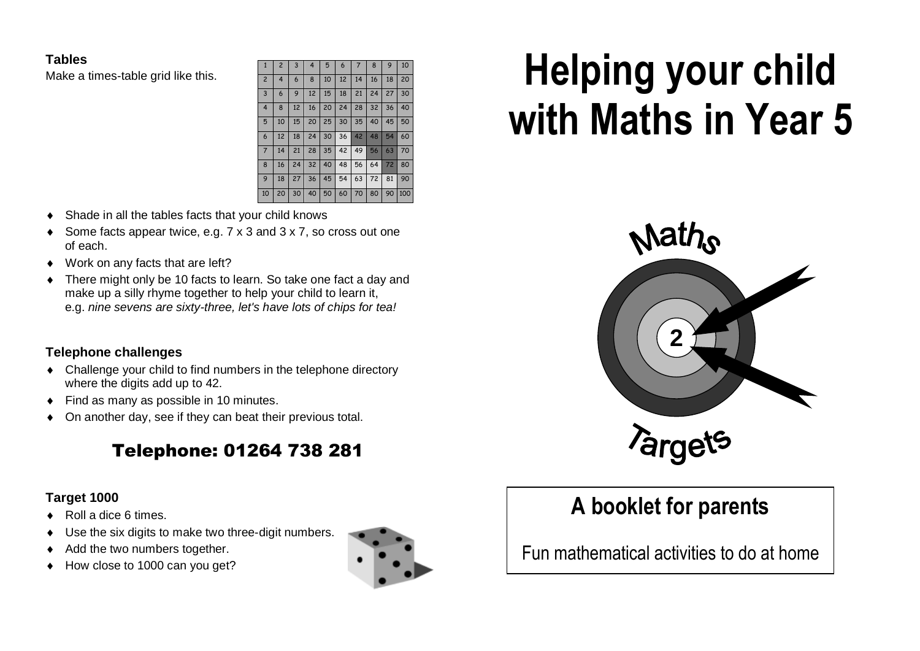## **Tables**

Make a times-table grid like this.

| $\mathbf{1}$   | $\overline{2}$ | 3  | 4  | 5  | 6  | 7  | 8  | 9  | 10 <sup>10</sup> |
|----------------|----------------|----|----|----|----|----|----|----|------------------|
| $\overline{c}$ | $\overline{4}$ | 6  | 8  | 10 | 12 | 14 | 16 | 18 | 20               |
| $\overline{3}$ | 6              | 9  | 12 | 15 | 18 | 21 | 24 | 27 | 30               |
| $\overline{4}$ | 8              | 12 | 16 | 20 | 24 | 28 | 32 | 36 | 40               |
| 5              | 10             | 15 | 20 | 25 | 30 | 35 | 40 | 45 | 50               |
| 6              | 12             | 18 | 24 | 30 | 36 | 42 | 48 | 54 | 60               |
| $\overline{7}$ | 14             | 21 | 28 | 35 | 42 | 49 | 56 | 63 | 70               |
| 8              | 16             | 24 | 32 | 40 | 48 | 56 | 64 | 72 | 80               |
| 9              | 18             | 27 | 36 | 45 | 54 | 63 | 72 | 81 | 90               |
| 10             | 20             | 30 | 40 | 50 | 60 | 70 | 80 | 90 | 100              |

- Shade in all the tables facts that your child knows
- Some facts appear twice, e.g. 7 x 3 and 3 x 7, so cross out one of each.
- ◆ Work on any facts that are left?
- There might only be 10 facts to learn. So take one fact a day and make up a silly rhyme together to help your child to learn it, e.g. *nine sevens are sixty-three, let's have lots of chips for tea!*

# **Telephone challenges**

- Challenge your child to find numbers in the telephone directory where the digits add up to 42.
- ◆ Find as many as possible in 10 minutes.
- On another day, see if they can beat their previous total.

# Telephone: 01264 738 281

# **Target 1000**

- ◆ Roll a dice 6 times.
- Use the six digits to make two three-digit numbers.
- Add the two numbers together.
- How close to 1000 can you get?



# Helping your child with Maths in Year 5



# **A booklet for parents**

Fun mathematical activities to do at home